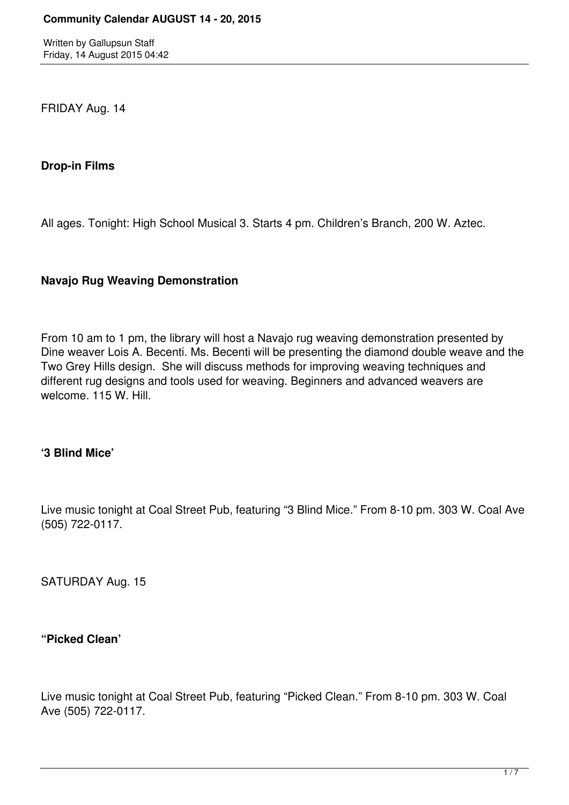FRIDAY Aug. 14

# **Drop-in Films**

All ages. Tonight: High School Musical 3. Starts 4 pm. Children's Branch, 200 W. Aztec.

# **Navajo Rug Weaving Demonstration**

From 10 am to 1 pm, the library will host a Navajo rug weaving demonstration presented by Dine weaver Lois A. Becenti. Ms. Becenti will be presenting the diamond double weave and the Two Grey Hills design. She will discuss methods for improving weaving techniques and different rug designs and tools used for weaving. Beginners and advanced weavers are welcome. 115 W. Hill.

# **'3 Blind Mice'**

Live music tonight at Coal Street Pub, featuring "3 Blind Mice." From 8-10 pm. 303 W. Coal Ave (505) 722-0117.

SATURDAY Aug. 15

**"Picked Clean'**

Live music tonight at Coal Street Pub, featuring "Picked Clean." From 8-10 pm. 303 W. Coal Ave (505) 722-0117.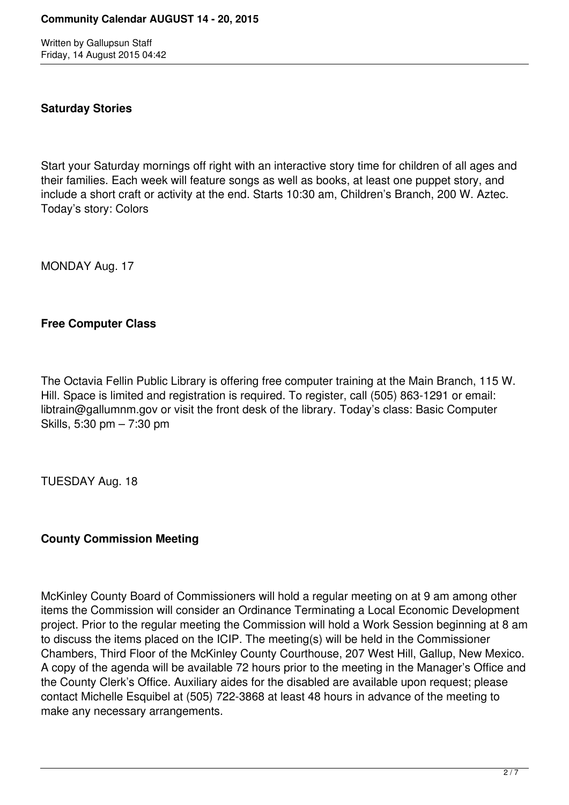# **Saturday Stories**

Start your Saturday mornings off right with an interactive story time for children of all ages and their families. Each week will feature songs as well as books, at least one puppet story, and include a short craft or activity at the end. Starts 10:30 am, Children's Branch, 200 W. Aztec. Today's story: Colors

MONDAY Aug. 17

# **Free Computer Class**

The Octavia Fellin Public Library is offering free computer training at the Main Branch, 115 W. Hill. Space is limited and registration is required. To register, call (505) 863-1291 or email: libtrain@gallumnm.gov or visit the front desk of the library. Today's class: Basic Computer Skills, 5:30 pm – 7:30 pm

TUESDAY Aug. 18

# **County Commission Meeting**

McKinley County Board of Commissioners will hold a regular meeting on at 9 am among other items the Commission will consider an Ordinance Terminating a Local Economic Development project. Prior to the regular meeting the Commission will hold a Work Session beginning at 8 am to discuss the items placed on the ICIP. The meeting(s) will be held in the Commissioner Chambers, Third Floor of the McKinley County Courthouse, 207 West Hill, Gallup, New Mexico. A copy of the agenda will be available 72 hours prior to the meeting in the Manager's Office and the County Clerk's Office. Auxiliary aides for the disabled are available upon request; please contact Michelle Esquibel at (505) 722-3868 at least 48 hours in advance of the meeting to make any necessary arrangements.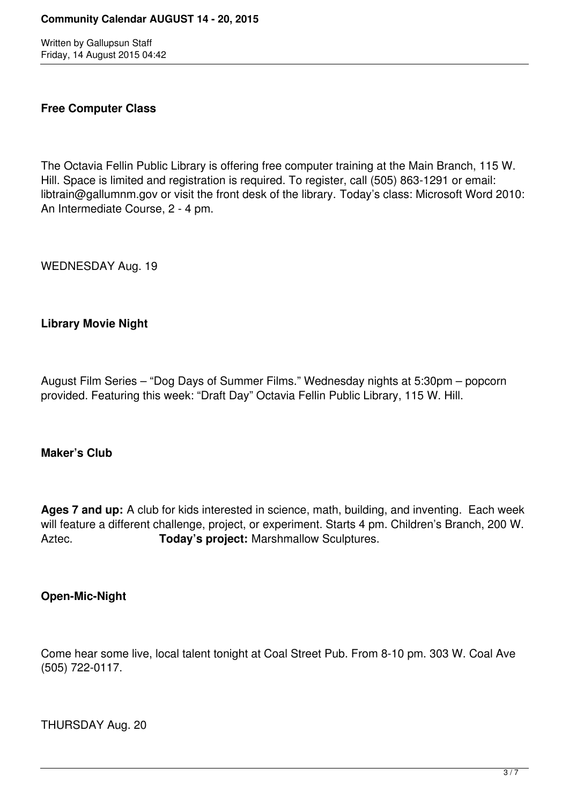# **Free Computer Class**

The Octavia Fellin Public Library is offering free computer training at the Main Branch, 115 W. Hill. Space is limited and registration is required. To register, call (505) 863-1291 or email: libtrain@gallumnm.gov or visit the front desk of the library. Today's class: Microsoft Word 2010: An Intermediate Course, 2 - 4 pm.

WEDNESDAY Aug. 19

# **Library Movie Night**

August Film Series – "Dog Days of Summer Films." Wednesday nights at 5:30pm – popcorn provided. Featuring this week: "Draft Day" Octavia Fellin Public Library, 115 W. Hill.

# **Maker's Club**

**Ages 7 and up:** A club for kids interested in science, math, building, and inventing. Each week will feature a different challenge, project, or experiment. Starts 4 pm. Children's Branch, 200 W. Aztec. **Today's project:** Marshmallow Sculptures.

#### **Open-Mic-Night**

Come hear some live, local talent tonight at Coal Street Pub. From 8-10 pm. 303 W. Coal Ave (505) 722-0117.

THURSDAY Aug. 20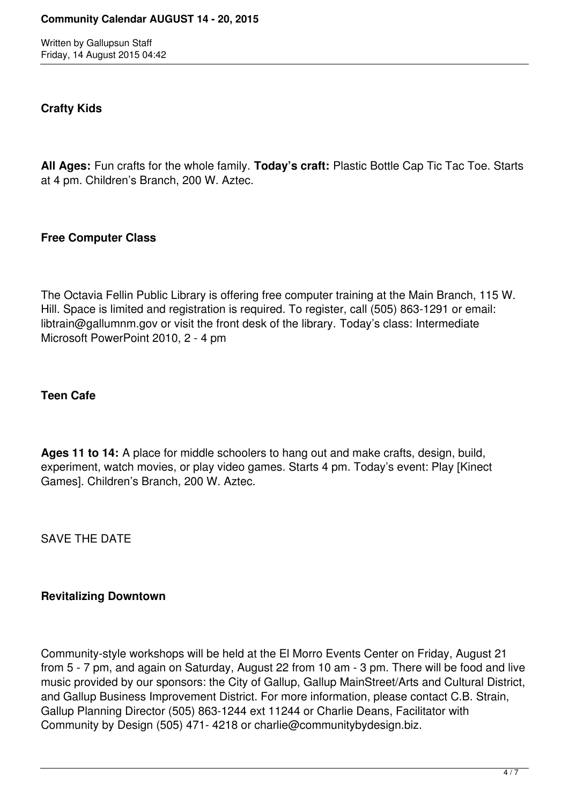# **Crafty Kids**

**All Ages:** Fun crafts for the whole family. **Today's craft:** Plastic Bottle Cap Tic Tac Toe. Starts at 4 pm. Children's Branch, 200 W. Aztec.

# **Free Computer Class**

The Octavia Fellin Public Library is offering free computer training at the Main Branch, 115 W. Hill. Space is limited and registration is required. To register, call (505) 863-1291 or email: libtrain@gallumnm.gov or visit the front desk of the library. Today's class: Intermediate Microsoft PowerPoint 2010, 2 - 4 pm

#### **Teen Cafe**

**Ages 11 to 14:** A place for middle schoolers to hang out and make crafts, design, build, experiment, watch movies, or play video games. Starts 4 pm. Today's event: Play [Kinect Games]. Children's Branch, 200 W. Aztec.

SAVE THE DATE

# **Revitalizing Downtown**

Community-style workshops will be held at the El Morro Events Center on Friday, August 21 from 5 - 7 pm, and again on Saturday, August 22 from 10 am - 3 pm. There will be food and live music provided by our sponsors: the City of Gallup, Gallup MainStreet/Arts and Cultural District, and Gallup Business Improvement District. For more information, please contact C.B. Strain, Gallup Planning Director (505) 863-1244 ext 11244 or Charlie Deans, Facilitator with Community by Design (505) 471- 4218 or charlie@communitybydesign.biz.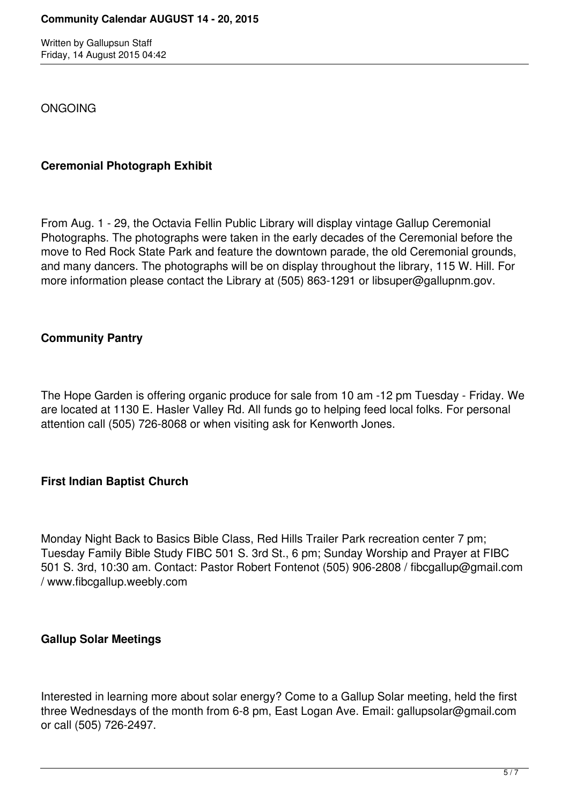**ONGOING** 

# **Ceremonial Photograph Exhibit**

From Aug. 1 - 29, the Octavia Fellin Public Library will display vintage Gallup Ceremonial Photographs. The photographs were taken in the early decades of the Ceremonial before the move to Red Rock State Park and feature the downtown parade, the old Ceremonial grounds, and many dancers. The photographs will be on display throughout the library, 115 W. Hill. For more information please contact the Library at (505) 863-1291 or libsuper@gallupnm.gov.

# **Community Pantry**

The Hope Garden is offering organic produce for sale from 10 am -12 pm Tuesday - Friday. We are located at 1130 E. Hasler Valley Rd. All funds go to helping feed local folks. For personal attention call (505) 726-8068 or when visiting ask for Kenworth Jones.

# **First Indian Baptist Church**

Monday Night Back to Basics Bible Class, Red Hills Trailer Park recreation center 7 pm; Tuesday Family Bible Study FIBC 501 S. 3rd St., 6 pm; Sunday Worship and Prayer at FIBC 501 S. 3rd, 10:30 am. Contact: Pastor Robert Fontenot (505) 906-2808 / fibcgallup@gmail.com / www.fibcgallup.weebly.com

# **Gallup Solar Meetings**

Interested in learning more about solar energy? Come to a Gallup Solar meeting, held the first three Wednesdays of the month from 6-8 pm, East Logan Ave. Email: gallupsolar@gmail.com or call (505) 726-2497.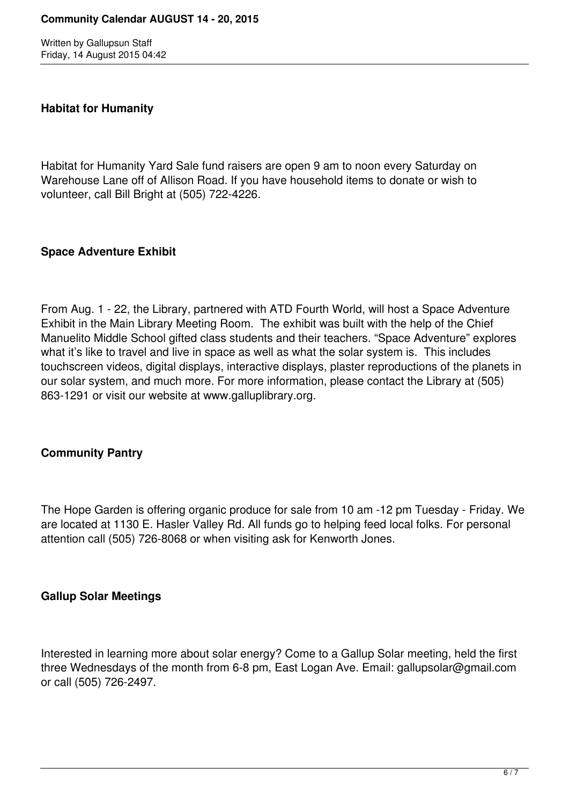# **Habitat for Humanity**

Habitat for Humanity Yard Sale fund raisers are open 9 am to noon every Saturday on Warehouse Lane off of Allison Road. If you have household items to donate or wish to volunteer, call Bill Bright at (505) 722-4226.

#### **Space Adventure Exhibit**

From Aug. 1 - 22, the Library, partnered with ATD Fourth World, will host a Space Adventure Exhibit in the Main Library Meeting Room. The exhibit was built with the help of the Chief Manuelito Middle School gifted class students and their teachers. "Space Adventure" explores what it's like to travel and live in space as well as what the solar system is. This includes touchscreen videos, digital displays, interactive displays, plaster reproductions of the planets in our solar system, and much more. For more information, please contact the Library at (505) 863-1291 or visit our website at www.galluplibrary.org.

# **Community Pantry**

The Hope Garden is offering organic produce for sale from 10 am -12 pm Tuesday - Friday. We are located at 1130 E. Hasler Valley Rd. All funds go to helping feed local folks. For personal attention call (505) 726-8068 or when visiting ask for Kenworth Jones.

#### **Gallup Solar Meetings**

Interested in learning more about solar energy? Come to a Gallup Solar meeting, held the first three Wednesdays of the month from 6-8 pm, East Logan Ave. Email: gallupsolar@gmail.com or call (505) 726-2497.